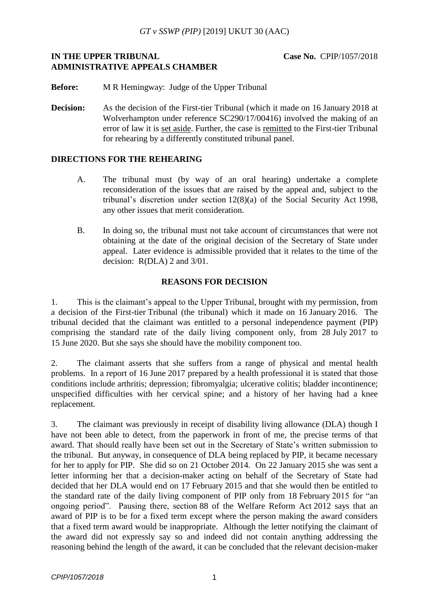# **IN THE UPPER TRIBUNAL <b>Case No.** CPIP/1057/2018 **ADMINISTRATIVE APPEALS CHAMBER**

**Before:** M R Hemingway: Judge of the Upper Tribunal

**Decision:** As the decision of the First-tier Tribunal (which it made on 16 January 2018 at Wolverhampton under reference SC290/17/00416) involved the making of an error of law it is set aside. Further, the case is remitted to the First-tier Tribunal for rehearing by a differently constituted tribunal panel.

#### **DIRECTIONS FOR THE REHEARING**

- A. The tribunal must (by way of an oral hearing) undertake a complete reconsideration of the issues that are raised by the appeal and, subject to the tribunal's discretion under section 12(8)(a) of the Social Security Act 1998, any other issues that merit consideration.
- B. In doing so, the tribunal must not take account of circumstances that were not obtaining at the date of the original decision of the Secretary of State under appeal. Later evidence is admissible provided that it relates to the time of the decision: R(DLA) 2 and 3/01.

# **REASONS FOR DECISION**

1. This is the claimant's appeal to the Upper Tribunal, brought with my permission, from a decision of the First-tier Tribunal (the tribunal) which it made on 16 January 2016. The tribunal decided that the claimant was entitled to a personal independence payment (PIP) comprising the standard rate of the daily living component only, from 28 July 2017 to 15 June 2020. But she says she should have the mobility component too.

2. The claimant asserts that she suffers from a range of physical and mental health problems. In a report of 16 June 2017 prepared by a health professional it is stated that those conditions include arthritis; depression; fibromyalgia; ulcerative colitis; bladder incontinence; unspecified difficulties with her cervical spine; and a history of her having had a knee replacement.

3. The claimant was previously in receipt of disability living allowance (DLA) though I have not been able to detect, from the paperwork in front of me, the precise terms of that award. That should really have been set out in the Secretary of State's written submission to the tribunal. But anyway, in consequence of DLA being replaced by PIP, it became necessary for her to apply for PIP. She did so on 21 October 2014. On 22 January 2015 she was sent a letter informing her that a decision-maker acting on behalf of the Secretary of State had decided that her DLA would end on 17 February 2015 and that she would then be entitled to the standard rate of the daily living component of PIP only from 18 February 2015 for "an ongoing period". Pausing there, section 88 of the Welfare Reform Act 2012 says that an award of PIP is to be for a fixed term except where the person making the award considers that a fixed term award would be inappropriate. Although the letter notifying the claimant of the award did not expressly say so and indeed did not contain anything addressing the reasoning behind the length of the award, it can be concluded that the relevant decision-maker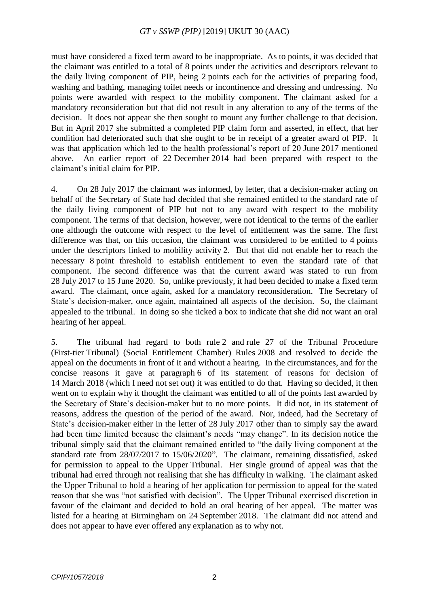must have considered a fixed term award to be inappropriate. As to points, it was decided that the claimant was entitled to a total of 8 points under the activities and descriptors relevant to the daily living component of PIP, being 2 points each for the activities of preparing food, washing and bathing, managing toilet needs or incontinence and dressing and undressing. No points were awarded with respect to the mobility component. The claimant asked for a mandatory reconsideration but that did not result in any alteration to any of the terms of the decision. It does not appear she then sought to mount any further challenge to that decision. But in April 2017 she submitted a completed PIP claim form and asserted, in effect, that her condition had deteriorated such that she ought to be in receipt of a greater award of PIP. It was that application which led to the health professional's report of 20 June 2017 mentioned above. An earlier report of 22 December 2014 had been prepared with respect to the claimant's initial claim for PIP.

4. On 28 July 2017 the claimant was informed, by letter, that a decision-maker acting on behalf of the Secretary of State had decided that she remained entitled to the standard rate of the daily living component of PIP but not to any award with respect to the mobility component. The terms of that decision, however, were not identical to the terms of the earlier one although the outcome with respect to the level of entitlement was the same. The first difference was that, on this occasion, the claimant was considered to be entitled to 4 points under the descriptors linked to mobility activity 2. But that did not enable her to reach the necessary 8 point threshold to establish entitlement to even the standard rate of that component. The second difference was that the current award was stated to run from 28 July 2017 to 15 June 2020. So, unlike previously, it had been decided to make a fixed term award. The claimant, once again, asked for a mandatory reconsideration. The Secretary of State's decision-maker, once again, maintained all aspects of the decision. So, the claimant appealed to the tribunal. In doing so she ticked a box to indicate that she did not want an oral hearing of her appeal.

5. The tribunal had regard to both rule 2 and rule 27 of the Tribunal Procedure (First-tier Tribunal) (Social Entitlement Chamber) Rules 2008 and resolved to decide the appeal on the documents in front of it and without a hearing. In the circumstances, and for the concise reasons it gave at paragraph 6 of its statement of reasons for decision of 14 March 2018 (which I need not set out) it was entitled to do that. Having so decided, it then went on to explain why it thought the claimant was entitled to all of the points last awarded by the Secretary of State's decision-maker but to no more points. It did not, in its statement of reasons, address the question of the period of the award. Nor, indeed, had the Secretary of State's decision-maker either in the letter of 28 July 2017 other than to simply say the award had been time limited because the claimant's needs "may change". In its decision notice the tribunal simply said that the claimant remained entitled to "the daily living component at the standard rate from 28/07/2017 to 15/06/2020". The claimant, remaining dissatisfied, asked for permission to appeal to the Upper Tribunal. Her single ground of appeal was that the tribunal had erred through not realising that she has difficulty in walking. The claimant asked the Upper Tribunal to hold a hearing of her application for permission to appeal for the stated reason that she was "not satisfied with decision". The Upper Tribunal exercised discretion in favour of the claimant and decided to hold an oral hearing of her appeal. The matter was listed for a hearing at Birmingham on 24 September 2018. The claimant did not attend and does not appear to have ever offered any explanation as to why not.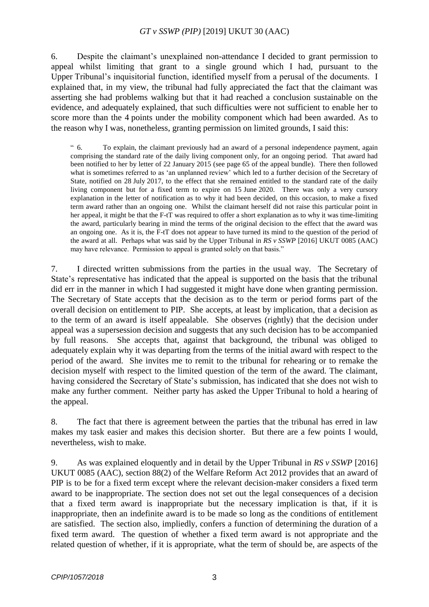6. Despite the claimant's unexplained non-attendance I decided to grant permission to appeal whilst limiting that grant to a single ground which I had, pursuant to the Upper Tribunal's inquisitorial function, identified myself from a perusal of the documents. I explained that, in my view, the tribunal had fully appreciated the fact that the claimant was asserting she had problems walking but that it had reached a conclusion sustainable on the evidence, and adequately explained, that such difficulties were not sufficient to enable her to score more than the 4 points under the mobility component which had been awarded. As to the reason why I was, nonetheless, granting permission on limited grounds, I said this:

" 6. To explain, the claimant previously had an award of a personal independence payment, again comprising the standard rate of the daily living component only, for an ongoing period. That award had been notified to her by letter of 22 January 2015 (see page 65 of the appeal bundle). There then followed what is sometimes referred to as 'an unplanned review' which led to a further decision of the Secretary of State, notified on 28 July 2017, to the effect that she remained entitled to the standard rate of the daily living component but for a fixed term to expire on 15 June 2020. There was only a very cursory explanation in the letter of notification as to why it had been decided, on this occasion, to make a fixed term award rather than an ongoing one. Whilst the claimant herself did not raise this particular point in her appeal, it might be that the F-tT was required to offer a short explanation as to why it was time-limiting the award, particularly bearing in mind the terms of the original decision to the effect that the award was an ongoing one. As it is, the F-tT does not appear to have turned its mind to the question of the period of the award at all. Perhaps what was said by the Upper Tribunal in *RS v SSWP* [2016] UKUT 0085 (AAC) may have relevance. Permission to appeal is granted solely on that basis."

7. I directed written submissions from the parties in the usual way. The Secretary of State's representative has indicated that the appeal is supported on the basis that the tribunal did err in the manner in which I had suggested it might have done when granting permission. The Secretary of State accepts that the decision as to the term or period forms part of the overall decision on entitlement to PIP. She accepts, at least by implication, that a decision as to the term of an award is itself appealable. She observes (rightly) that the decision under appeal was a supersession decision and suggests that any such decision has to be accompanied by full reasons. She accepts that, against that background, the tribunal was obliged to adequately explain why it was departing from the terms of the initial award with respect to the period of the award. She invites me to remit to the tribunal for rehearing or to remake the decision myself with respect to the limited question of the term of the award. The claimant, having considered the Secretary of State's submission, has indicated that she does not wish to make any further comment. Neither party has asked the Upper Tribunal to hold a hearing of the appeal.

8. The fact that there is agreement between the parties that the tribunal has erred in law makes my task easier and makes this decision shorter. But there are a few points I would, nevertheless, wish to make.

9. As was explained eloquently and in detail by the Upper Tribunal in *RS v SSWP* [2016] UKUT 0085 (AAC), section 88(2) of the Welfare Reform Act 2012 provides that an award of PIP is to be for a fixed term except where the relevant decision-maker considers a fixed term award to be inappropriate. The section does not set out the legal consequences of a decision that a fixed term award is inappropriate but the necessary implication is that, if it is inappropriate, then an indefinite award is to be made so long as the conditions of entitlement are satisfied. The section also, impliedly, confers a function of determining the duration of a fixed term award. The question of whether a fixed term award is not appropriate and the related question of whether, if it is appropriate, what the term of should be, are aspects of the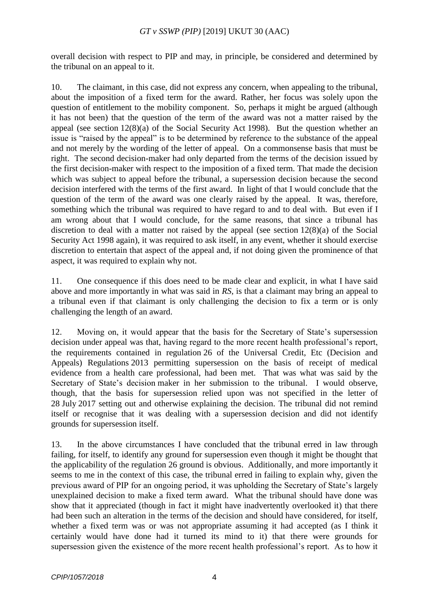overall decision with respect to PIP and may, in principle, be considered and determined by the tribunal on an appeal to it.

10. The claimant, in this case, did not express any concern, when appealing to the tribunal, about the imposition of a fixed term for the award. Rather, her focus was solely upon the question of entitlement to the mobility component. So, perhaps it might be argued (although it has not been) that the question of the term of the award was not a matter raised by the appeal (see section 12(8)(a) of the Social Security Act 1998). But the question whether an issue is "raised by the appeal" is to be determined by reference to the substance of the appeal and not merely by the wording of the letter of appeal. On a commonsense basis that must be right. The second decision-maker had only departed from the terms of the decision issued by the first decision-maker with respect to the imposition of a fixed term. That made the decision which was subject to appeal before the tribunal, a supersession decision because the second decision interfered with the terms of the first award. In light of that I would conclude that the question of the term of the award was one clearly raised by the appeal. It was, therefore, something which the tribunal was required to have regard to and to deal with. But even if I am wrong about that I would conclude, for the same reasons, that since a tribunal has discretion to deal with a matter not raised by the appeal (see section 12(8)(a) of the Social Security Act 1998 again), it was required to ask itself, in any event, whether it should exercise discretion to entertain that aspect of the appeal and, if not doing given the prominence of that aspect, it was required to explain why not.

11. One consequence if this does need to be made clear and explicit, in what I have said above and more importantly in what was said in *RS*, is that a claimant may bring an appeal to a tribunal even if that claimant is only challenging the decision to fix a term or is only challenging the length of an award.

12. Moving on, it would appear that the basis for the Secretary of State's supersession decision under appeal was that, having regard to the more recent health professional's report, the requirements contained in regulation 26 of the Universal Credit, Etc (Decision and Appeals) Regulations 2013 permitting supersession on the basis of receipt of medical evidence from a health care professional, had been met. That was what was said by the Secretary of State's decision maker in her submission to the tribunal. I would observe, though, that the basis for supersession relied upon was not specified in the letter of 28 July 2017 setting out and otherwise explaining the decision. The tribunal did not remind itself or recognise that it was dealing with a supersession decision and did not identify grounds for supersession itself.

13. In the above circumstances I have concluded that the tribunal erred in law through failing, for itself, to identify any ground for supersession even though it might be thought that the applicability of the regulation 26 ground is obvious. Additionally, and more importantly it seems to me in the context of this case, the tribunal erred in failing to explain why, given the previous award of PIP for an ongoing period, it was upholding the Secretary of State's largely unexplained decision to make a fixed term award. What the tribunal should have done was show that it appreciated (though in fact it might have inadvertently overlooked it) that there had been such an alteration in the terms of the decision and should have considered, for itself, whether a fixed term was or was not appropriate assuming it had accepted (as I think it certainly would have done had it turned its mind to it) that there were grounds for supersession given the existence of the more recent health professional's report. As to how it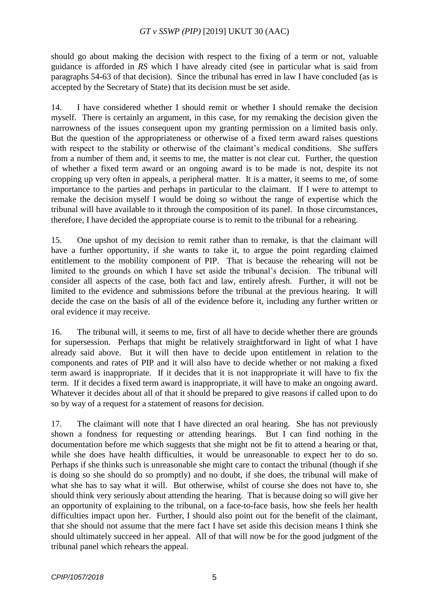should go about making the decision with respect to the fixing of a term or not, valuable guidance is afforded in *RS* which I have already cited (see in particular what is said from paragraphs 54-63 of that decision). Since the tribunal has erred in law I have concluded (as is accepted by the Secretary of State) that its decision must be set aside.

14. I have considered whether I should remit or whether I should remake the decision myself. There is certainly an argument, in this case, for my remaking the decision given the narrowness of the issues consequent upon my granting permission on a limited basis only. But the question of the appropriateness or otherwise of a fixed term award raises questions with respect to the stability or otherwise of the claimant's medical conditions. She suffers from a number of them and, it seems to me, the matter is not clear cut. Further, the question of whether a fixed term award or an ongoing award is to be made is not, despite its not cropping up very often in appeals, a peripheral matter. It is a matter, it seems to me, of some importance to the parties and perhaps in particular to the claimant. If I were to attempt to remake the decision myself I would be doing so without the range of expertise which the tribunal will have available to it through the composition of its panel. In those circumstances, therefore, I have decided the appropriate course is to remit to the tribunal for a rehearing.

15. One upshot of my decision to remit rather than to remake, is that the claimant will have a further opportunity, if she wants to take it, to argue the point regarding claimed entitlement to the mobility component of PIP. That is because the rehearing will not be limited to the grounds on which I have set aside the tribunal's decision. The tribunal will consider all aspects of the case, both fact and law, entirely afresh. Further, it will not be limited to the evidence and submissions before the tribunal at the previous hearing. It will decide the case on the basis of all of the evidence before it, including any further written or oral evidence it may receive.

16. The tribunal will, it seems to me, first of all have to decide whether there are grounds for supersession. Perhaps that might be relatively straightforward in light of what I have already said above. But it will then have to decide upon entitlement in relation to the components and rates of PIP and it will also have to decide whether or not making a fixed term award is inappropriate. If it decides that it is not inappropriate it will have to fix the term. If it decides a fixed term award is inappropriate, it will have to make an ongoing award. Whatever it decides about all of that it should be prepared to give reasons if called upon to do so by way of a request for a statement of reasons for decision.

17. The claimant will note that I have directed an oral hearing. She has not previously shown a fondness for requesting or attending hearings. But I can find nothing in the documentation before me which suggests that she might not be fit to attend a hearing or that, while she does have health difficulties, it would be unreasonable to expect her to do so. Perhaps if she thinks such is unreasonable she might care to contact the tribunal (though if she is doing so she should do so promptly) and no doubt, if she does, the tribunal will make of what she has to say what it will. But otherwise, whilst of course she does not have to, she should think very seriously about attending the hearing. That is because doing so will give her an opportunity of explaining to the tribunal, on a face-to-face basis, how she feels her health difficulties impact upon her. Further, I should also point out for the benefit of the claimant, that she should not assume that the mere fact I have set aside this decision means I think she should ultimately succeed in her appeal. All of that will now be for the good judgment of the tribunal panel which rehears the appeal.